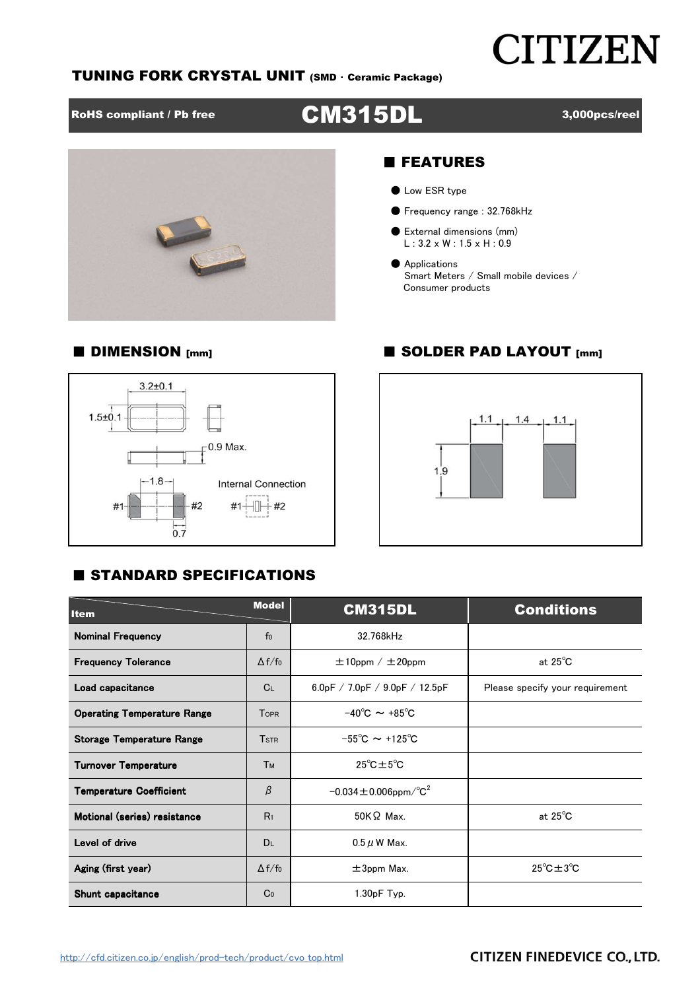## **CITIZEN**

#### TUNING FORK CRYSTAL UNIT (SMD ・ Ceramic Package)

## RoHS compliant / Pb free **CM315DL** 3,000pcs/reel

■ DIMENSION [mm] ■ SOLDER PAD LAYOUT [mm]



#### ■ FEATURES

- Low ESR type
- Frequency range : 32.768kHz
- External dimensions (mm) L : 3.2 x W : 1.5 x H : 0.9
- Applications Smart Meters / Small mobile devices / Consumer products

### $3.2 + 0.1$  $1.5 + 0.1$  $-0.9$  Max.  $-1.8-$ Internal Connection  $#2$  $#1$  $#1$  $#2$  $0.7$



### **E STANDARD SPECIFICATIONS**

| <b>Item</b>                          | <b>Model</b>   | <b>CM315DL</b>                           | <b>Conditions</b>                |  |  |  |
|--------------------------------------|----------------|------------------------------------------|----------------------------------|--|--|--|
| <b>Nominal Frequency</b>             | f <sub>0</sub> | 32.768kHz                                |                                  |  |  |  |
| <b>Frequency Tolerance</b>           | $\Delta f/f_0$ | $\pm 10$ ppm / $\pm 20$ ppm              | at $25^{\circ}$ C                |  |  |  |
| Load capacitance                     | C <sub>L</sub> | 6.0pF / 7.0pF / 9.0pF / 12.5pF           | Please specify your requirement  |  |  |  |
| <b>Operating Temperature Range</b>   | <b>TOPR</b>    | $-40^{\circ}$ C $\sim +85^{\circ}$ C     |                                  |  |  |  |
| <b>Storage Temperature Range</b>     | <b>TSTR</b>    | $-55^{\circ}$ C $\sim$ +125 $^{\circ}$ C |                                  |  |  |  |
| <b>Turnover Temperature</b>          | Тм             | $25^{\circ}$ C $\pm 5^{\circ}$ C         |                                  |  |  |  |
| <b>Temperature Coefficient</b>       | β              | $-0.034 \pm 0.006$ ppm/°C <sup>2</sup>   |                                  |  |  |  |
| Motional (series) resistance         | R <sub>1</sub> | $50K\Omega$ Max.                         | at $25^{\circ}$ C                |  |  |  |
| Level of drive                       | <b>DL</b>      | $0.5 \mu$ W Max.                         |                                  |  |  |  |
| Aging (first year)<br>$\Delta f/f_0$ |                | $\pm$ 3ppm Max.                          | $25^{\circ}$ C $\pm 3^{\circ}$ C |  |  |  |
| Shunt capacitance                    | Co             | $1.30pF$ Typ.                            |                                  |  |  |  |